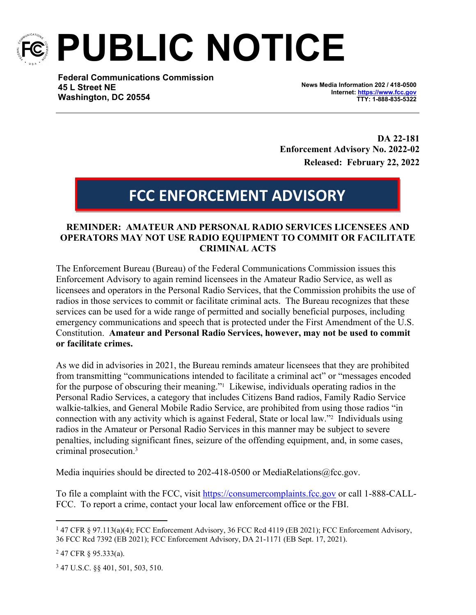

**PUBLIC NOTICE**

**Federal Communications Commission 45 L Street NE Washington, DC 20554**

**News Media Information 202 / 418-0500 Internet:<https://www.fcc.gov> TTY: 1-888-835-5322**

**DA 22-181 Enforcement Advisory No. 2022-02 Released: February 22, 2022**

## **FCC ENFORCEMENT ADVISORY**

## **REMINDER: AMATEUR AND PERSONAL RADIO SERVICES LICENSEES AND OPERATORS MAY NOT USE RADIO EQUIPMENT TO COMMIT OR FACILITATE CRIMINAL ACTS**

The Enforcement Bureau (Bureau) of the Federal Communications Commission issues this Enforcement Advisory to again remind licensees in the Amateur Radio Service, as well as licensees and operators in the Personal Radio Services, that the Commission prohibits the use of radios in those services to commit or facilitate criminal acts. The Bureau recognizes that these services can be used for a wide range of permitted and socially beneficial purposes, including emergency communications and speech that is protected under the First Amendment of the U.S. Constitution. **Amateur and Personal Radio Services, however, may not be used to commit or facilitate crimes.**

As we did in advisories in 2021, the Bureau reminds amateur licensees that they are prohibited from transmitting "communications intended to facilitate a criminal act" or "messages encoded for the purpose of obscuring their meaning."<sup>1</sup> Likewise, individuals operating radios in the Personal Radio Services, a category that includes Citizens Band radios, Family Radio Service walkie-talkies, and General Mobile Radio Service, are prohibited from using those radios "in connection with any activity which is against Federal, State or local law."<sup>2</sup> Individuals using radios in the Amateur or Personal Radio Services in this manner may be subject to severe penalties, including significant fines, seizure of the offending equipment, and, in some cases, criminal prosecution.<sup>3</sup>

Media inquiries should be directed to 202-418-0500 or MediaRelations@fcc.gov.

To file a complaint with the FCC, visit <https://consumercomplaints.fcc.gov> or call 1-888-CALL-FCC. To report a crime, contact your local law enforcement office or the FBI.

<sup>&</sup>lt;sup>1</sup> 47 CFR § 97.113(a)(4); FCC Enforcement Advisory, 36 FCC Rcd 4119 (EB 2021); FCC Enforcement Advisory, 36 FCC Rcd 7392 (EB 2021); FCC Enforcement Advisory, DA 21-1171 (EB Sept. 17, 2021).

 $247$  CFR § 95.333(a).

<sup>3</sup> 47 U.S.C. §§ 401, 501, 503, 510.